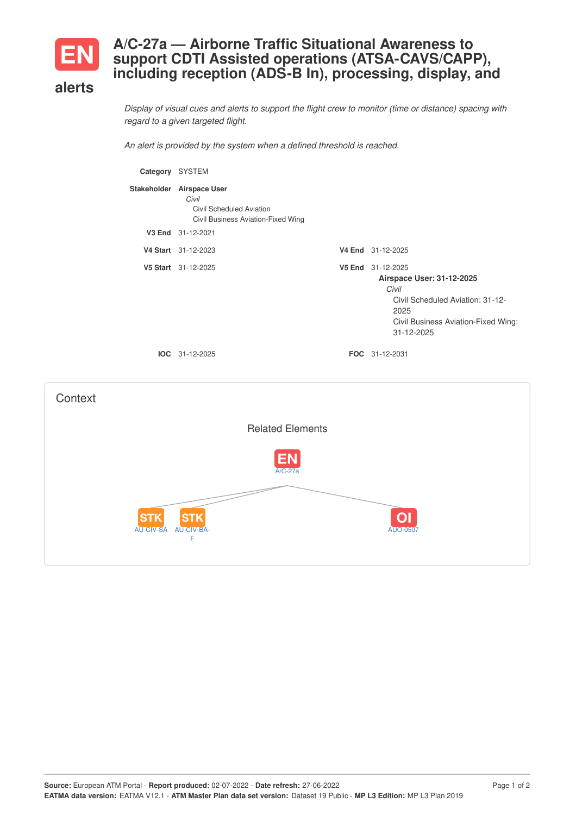

## **A/C-27a — Airborne Traffic Situational Awareness to support CDTI Assisted operations (ATSA-CAVS/CAPP), including reception (ADS-B In), processing, display, and**

## **alerts**

Display of visual cues and alerts to support the flight crew to monitor (time or distance) spacing with *regard to a given targeted flight.*

*An alert is provided by the system when a defined threshold is reached.*